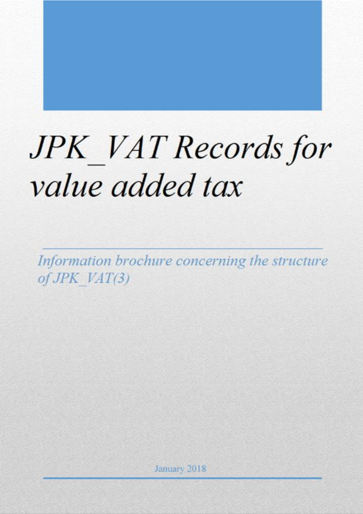# **JPK** VAT Records for value added tax

Information brochure concerning the structure  $of$  JPK  $VAT(3)$ 

> January 2018 Strona **0** z **13**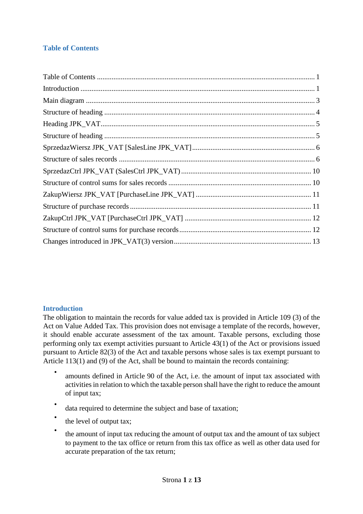# <span id="page-1-0"></span>**Table of Contents**

#### <span id="page-1-1"></span>**Introduction**

The obligation to maintain the records for value added tax is provided in Article 109 (3) of the Act on Value Added Tax. This provision does not envisage a template of the records, however, it should enable accurate assessment of the tax amount. Taxable persons, excluding those performing only tax exempt activities pursuant to Article 43(1) of the Act or provisions issued pursuant to Article 82(3) of the Act and taxable persons whose sales is tax exempt pursuant to Article 113(1) and (9) of the Act, shall be bound to maintain the records containing:

- amounts defined in Article 90 of the Act, i.e. the amount of input tax associated with activities in relation to which the taxable person shall have the right to reduce the amount of input tax;
- data required to determine the subject and base of taxation;
- the level of output tax;
- the amount of input tax reducing the amount of output tax and the amount of tax subject to payment to the tax office or return from this tax office as well as other data used for accurate preparation of the tax return;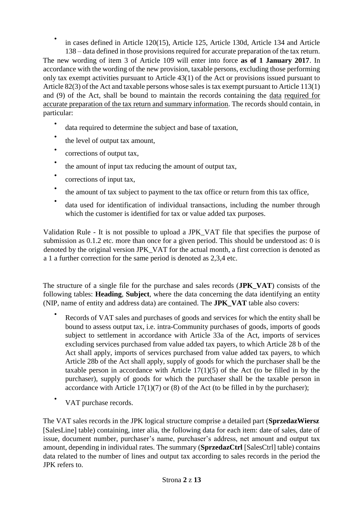• in cases defined in Article 120(15), Article 125, Article 130d, Article 134 and Article 138 – data defined in those provisions required for accurate preparation of the tax return. The new wording of item 3 of Article 109 will enter into force **as of 1 January 2017**. In accordance with the wording of the new provision, taxable persons, excluding those performing only tax exempt activities pursuant to Article 43(1) of the Act or provisions issued pursuant to Article 82(3) of the Act and taxable persons whose sales is tax exempt pursuant to Article 113(1) and (9) of the Act, shall be bound to maintain the records containing the data required for accurate preparation of the tax return and summary information. The records should contain, in particular:

- data required to determine the subject and base of taxation,
- the level of output tax amount,
- corrections of output tax,
- the amount of input tax reducing the amount of output tax,
- corrections of input tax,
- the amount of tax subject to payment to the tax office or return from this tax office,
- data used for identification of individual transactions, including the number through which the customer is identified for tax or value added tax purposes.

Validation Rule - It is not possible to upload a JPK\_VAT file that specifies the purpose of submission as 0.1.2 etc. more than once for a given period. This should be understood as: 0 is denoted by the original version JPK\_VAT for the actual month, a first correction is denoted as a 1 a further correction for the same period is denoted as 2,3,4 etc.

The structure of a single file for the purchase and sales records (**JPK\_VAT**) consists of the following tables: **Heading**, **Subject**, where the data concerning the data identifying an entity (NIP, name of entity and address data) are contained. The **JPK\_VAT** table also covers:

- Records of VAT sales and purchases of goods and services for which the entity shall be bound to assess output tax, i.e. intra-Community purchases of goods, imports of goods subject to settlement in accordance with Article 33a of the Act, imports of services excluding services purchased from value added tax payers, to which Article 28 b of the Act shall apply, imports of services purchased from value added tax payers, to which Article 28b of the Act shall apply, supply of goods for which the purchaser shall be the taxable person in accordance with Article  $17(1)(5)$  of the Act (to be filled in by the purchaser), supply of goods for which the purchaser shall be the taxable person in accordance with Article  $17(1)(7)$  or  $(8)$  of the Act (to be filled in by the purchaser);
- VAT purchase records.

The VAT sales records in the JPK logical structure comprise a detailed part (**SprzedazWiersz** [SalesLine] table) containing, inter alia, the following data for each item: date of sales, date of issue, document number, purchaser's name, purchaser's address, net amount and output tax amount, depending in individual rates. The summary (**SprzedazCtrl** [SalesCtrl] table) contains data related to the number of lines and output tax according to sales records in the period the JPK refers to.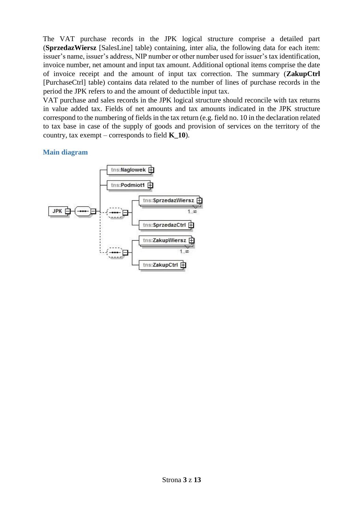The VAT purchase records in the JPK logical structure comprise a detailed part (**SprzedazWiersz** [SalesLine] table) containing, inter alia, the following data for each item: issuer's name, issuer's address, NIP number or other number used for issuer's tax identification, invoice number, net amount and input tax amount. Additional optional items comprise the date of invoice receipt and the amount of input tax correction. The summary (**ZakupCtrl** [PurchaseCtrl] table) contains data related to the number of lines of purchase records in the period the JPK refers to and the amount of deductible input tax.

VAT purchase and sales records in the JPK logical structure should reconcile with tax returns in value added tax. Fields of net amounts and tax amounts indicated in the JPK structure correspond to the numbering of fields in the tax return (e.g. field no. 10 in the declaration related to tax base in case of the supply of goods and provision of services on the territory of the country, tax exempt – corresponds to field **K\_10**).

### <span id="page-3-0"></span>**Main diagram**

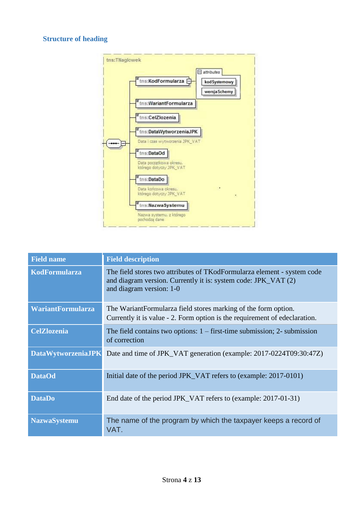# <span id="page-4-0"></span>**Structure of heading**



| <b>Field name</b>         | <b>Field description</b>                                                                                                                                              |
|---------------------------|-----------------------------------------------------------------------------------------------------------------------------------------------------------------------|
| <b>KodFormularza</b>      | The field stores two attributes of TKodFormularza element - system code<br>and diagram version. Currently it is: system code: JPK_VAT (2)<br>and diagram version: 1-0 |
| <b>WariantFormularza</b>  | The WariantFormularza field stores marking of the form option.<br>Currently it is value - 2. Form option is the requirement of edeclaration.                          |
| <b>CelZlozenia</b>        | The field contains two options: $1 -$ first-time submission; $2 -$ submission<br>of correction                                                                        |
| <b>DataWytworzeniaJPK</b> | Date and time of JPK_VAT generation (example: 2017-0224T09:30:47Z)                                                                                                    |
| <b>DataOd</b>             | Initial date of the period JPK_VAT refers to (example: 2017-0101)                                                                                                     |
| <b>DataDo</b>             | End date of the period JPK_VAT refers to (example: 2017-01-31)                                                                                                        |
| <b>NazwaSystemu</b>       | The name of the program by which the taxpayer keeps a record of<br>VAT.                                                                                               |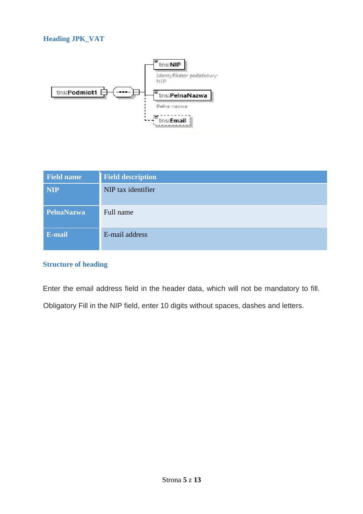<span id="page-5-0"></span>

| <b>Field name</b> | <b>Field description</b> |
|-------------------|--------------------------|
| <b>NIP</b>        | NIP tax identifier       |
| PelnaNazwa        | Full name                |
| E-mail            | E-mail address           |

# <span id="page-5-1"></span>**Structure of heading**

Enter the email address field in the header data, which will not be mandatory to fill. Obligatory Fill in the NIP field, enter 10 digits without spaces, dashes and letters.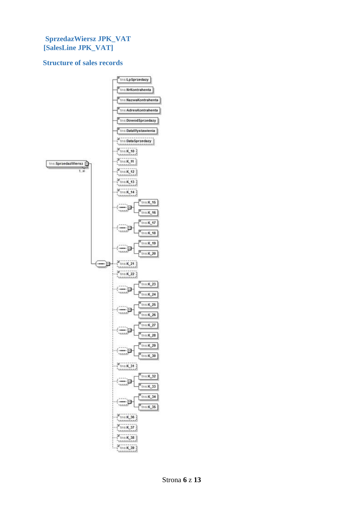#### <span id="page-6-0"></span>**SprzedazWiersz JPK\_VAT [SalesLine JPK\_VAT]**

#### <span id="page-6-1"></span>**Structure of sales records**

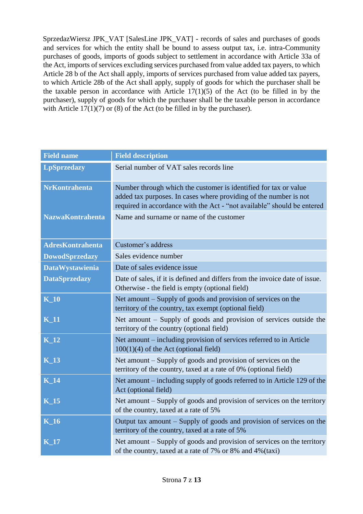SprzedazWiersz JPK\_VAT [SalesLine JPK\_VAT] - records of sales and purchases of goods and services for which the entity shall be bound to assess output tax, i.e. intra-Community purchases of goods, imports of goods subject to settlement in accordance with Article 33a of the Act, imports of services excluding services purchased from value added tax payers, to which Article 28 b of the Act shall apply, imports of services purchased from value added tax payers, to which Article 28b of the Act shall apply, supply of goods for which the purchaser shall be the taxable person in accordance with Article  $17(1)(5)$  of the Act (to be filled in by the purchaser), supply of goods for which the purchaser shall be the taxable person in accordance with Article  $17(1)(7)$  or (8) of the Act (to be filled in by the purchaser).

| <b>Field name</b>          | <b>Field description</b>                                                                                                                                                                                         |
|----------------------------|------------------------------------------------------------------------------------------------------------------------------------------------------------------------------------------------------------------|
| <b>LpSprzedazy</b>         | Serial number of VAT sales records line                                                                                                                                                                          |
| <b>NrKontrahenta</b>       | Number through which the customer is identified for tax or value<br>added tax purposes. In cases where providing of the number is not<br>required in accordance with the Act - "not available" should be entered |
| <b>NazwaKontrahenta</b>    | Name and surname or name of the customer                                                                                                                                                                         |
| <b>AdresKontrahenta</b>    | Customer's address                                                                                                                                                                                               |
| <b>DowodSprzedazy</b>      | Sales evidence number                                                                                                                                                                                            |
| <b>DataWystawienia</b>     | Date of sales evidence issue                                                                                                                                                                                     |
| <b>DataSprzedazy</b>       | Date of sales, if it is defined and differs from the invoice date of issue.<br>Otherwise - the field is empty (optional field)                                                                                   |
| $K_1$ 10                   | Net amount – Supply of goods and provision of services on the<br>territory of the country, tax exempt (optional field)                                                                                           |
| $K_11$                     | Net amount – Supply of goods and provision of services outside the<br>territory of the country (optional field)                                                                                                  |
| $\overline{\mathbf{K}}$ 12 | Net amount – including provision of services referred to in Article<br>$100(1)(4)$ of the Act (optional field)                                                                                                   |
| $K_13$                     | Net amount - Supply of goods and provision of services on the<br>territory of the country, taxed at a rate of 0% (optional field)                                                                                |
| $K_14$                     | Net amount – including supply of goods referred to in Article 129 of the<br>Act (optional field)                                                                                                                 |
| $K_{15}$                   | Net amount – Supply of goods and provision of services on the territory<br>of the country, taxed at a rate of 5%                                                                                                 |
| $K_1$ 16                   | Output tax amount $-$ Supply of goods and provision of services on the<br>territory of the country, taxed at a rate of 5%                                                                                        |
| $K_{17}$                   | Net amount - Supply of goods and provision of services on the territory<br>of the country, taxed at a rate of 7% or 8% and 4% (taxi)                                                                             |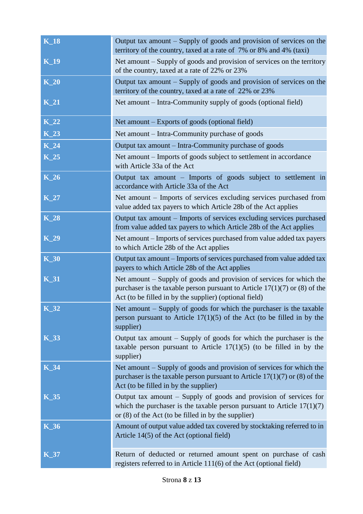| $K_18$      | Output tax amount $-$ Supply of goods and provision of services on the<br>territory of the country, taxed at a rate of 7% or 8% and 4% (taxi)                                                                  |
|-------------|----------------------------------------------------------------------------------------------------------------------------------------------------------------------------------------------------------------|
| $K_19$      | Net amount – Supply of goods and provision of services on the territory<br>of the country, taxed at a rate of 22% or 23%                                                                                       |
| $K_2$       | Output tax amount $-$ Supply of goods and provision of services on the<br>territory of the country, taxed at a rate of 22% or 23%                                                                              |
| $K_21$      | Net amount – Intra-Community supply of goods (optional field)                                                                                                                                                  |
| $K_22$      | Net amount – Exports of goods (optional field)                                                                                                                                                                 |
| $K_23$      | Net amount – Intra-Community purchase of goods                                                                                                                                                                 |
| $K_2$ 24    | Output tax amount – Intra-Community purchase of goods                                                                                                                                                          |
| $K_25$      | Net amount – Imports of goods subject to settlement in accordance<br>with Article 33a of the Act                                                                                                               |
| $K_2$       | Output tax amount – Imports of goods subject to settlement in<br>accordance with Article 33a of the Act                                                                                                        |
| $K_2$       | Net amount – Imports of services excluding services purchased from<br>value added tax payers to which Article 28b of the Act applies                                                                           |
| $K_28$      | Output tax amount – Imports of services excluding services purchased<br>from value added tax payers to which Article 28b of the Act applies                                                                    |
| $K_29$      | Net amount – Imports of services purchased from value added tax payers<br>to which Article 28b of the Act applies                                                                                              |
| $K_30$      | Output tax amount - Imports of services purchased from value added tax<br>payers to which Article 28b of the Act applies                                                                                       |
| $K_31$      | Net amount – Supply of goods and provision of services for which the<br>purchaser is the taxable person pursuant to Article $17(1)(7)$ or (8) of the<br>Act (to be filled in by the supplier) (optional field) |
| $K_32$      | Net amount - Supply of goods for which the purchaser is the taxable<br>person pursuant to Article $17(1)(5)$ of the Act (to be filled in by the<br>supplier)                                                   |
| <b>K_33</b> | Output tax amount $-$ Supply of goods for which the purchaser is the<br>taxable person pursuant to Article $17(1)(5)$ (to be filled in by the<br>supplier)                                                     |
| K_34        | Net amount – Supply of goods and provision of services for which the<br>purchaser is the taxable person pursuant to Article $17(1)(7)$ or (8) of the<br>Act (to be filled in by the supplier)                  |
| <b>K_35</b> | Output tax amount - Supply of goods and provision of services for<br>which the purchaser is the taxable person pursuant to Article $17(1)(7)$<br>or $(8)$ of the Act (to be filled in by the supplier)         |
| <b>K_36</b> | Amount of output value added tax covered by stocktaking referred to in<br>Article 14(5) of the Act (optional field)                                                                                            |
| $K_{37}$    | Return of deducted or returned amount spent on purchase of cash<br>registers referred to in Article 111(6) of the Act (optional field)                                                                         |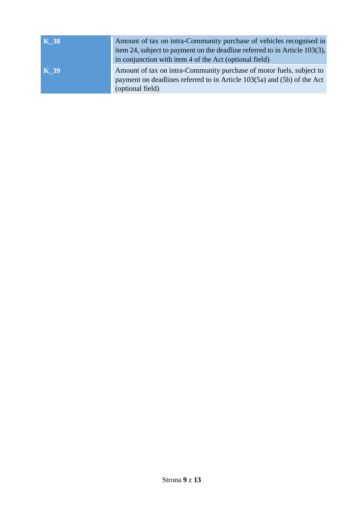| <b>K</b> _38 | Amount of tax on intra-Community purchase of vehicles recognised in<br>item 24, subject to payment on the deadline referred to in Article 103(3),<br>in conjunction with item 4 of the Act (optional field) |
|--------------|-------------------------------------------------------------------------------------------------------------------------------------------------------------------------------------------------------------|
| $K_39$       | Amount of tax on intra-Community purchase of motor fuels, subject to<br>payment on deadlines referred to in Article 103(5a) and (5b) of the Act<br>(optional field)                                         |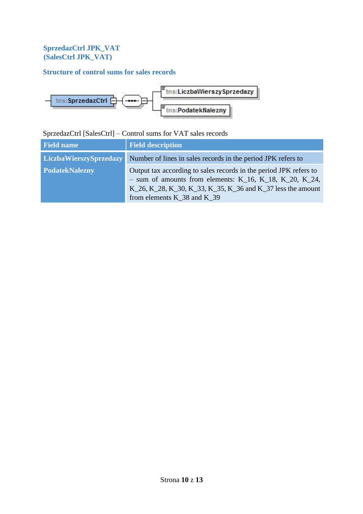## <span id="page-10-0"></span>**SprzedazCtrl JPK\_VAT (SalesCtrl JPK\_VAT)**

# <span id="page-10-1"></span>**Structure of control sums for sales records**



# SprzedazCtrl [SalesCtrl] – Control sums for VAT sales records

| <b>Field name</b>      | <b>Field description</b>                                                                                                                                                                                                                   |
|------------------------|--------------------------------------------------------------------------------------------------------------------------------------------------------------------------------------------------------------------------------------------|
| LiczbaWierszySprzedazy | Number of lines in sales records in the period JPK refers to                                                                                                                                                                               |
| <b>PodatekNalezny</b>  | Output tax according to sales records in the period JPK refers to<br>- sum of amounts from elements: $K_16$ , $K_18$ , $K_20$ , $K_24$ ,<br>K_26, K_28, K_30, K_33, K_35, K_36 and K_37 less the amount<br>from elements $K$ 38 and $K$ 39 |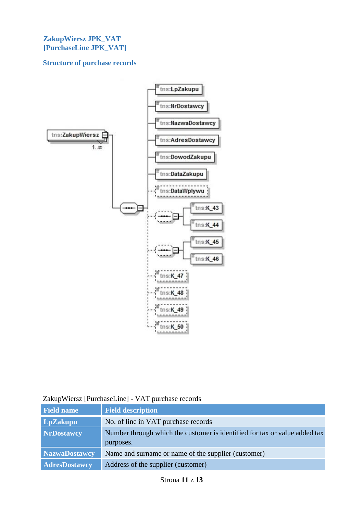#### <span id="page-11-0"></span>**ZakupWiersz JPK\_VAT [PurchaseLine JPK\_VAT]**

### <span id="page-11-1"></span>**Structure of purchase records**



|  |  |  | ZakupWiersz [PurchaseLine] - VAT purchase records |
|--|--|--|---------------------------------------------------|
|--|--|--|---------------------------------------------------|

| <b>Field name</b>    | <b>Field description</b>                                                   |
|----------------------|----------------------------------------------------------------------------|
| LpZakupu             | No. of line in VAT purchase records                                        |
| <b>NrDostawcy</b>    | Number through which the customer is identified for tax or value added tax |
|                      | purposes.                                                                  |
| <b>NazwaDostawcy</b> | Name and surname or name of the supplier (customer)                        |
| <b>AdresDostawcy</b> | Address of the supplier (customer)                                         |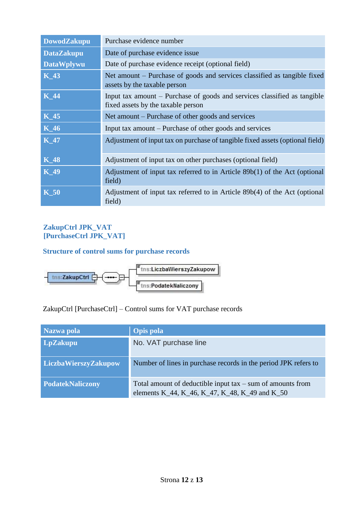| <b>DowodZakupu</b> | Purchase evidence number                                                                                       |
|--------------------|----------------------------------------------------------------------------------------------------------------|
| <b>DataZakupu</b>  | Date of purchase evidence issue.                                                                               |
| <b>DataWplywu</b>  | Date of purchase evidence receipt (optional field)                                                             |
| $K_43$             | Net amount – Purchase of goods and services classified as tangible fixed<br>assets by the taxable person       |
| <b>K</b> 44        | Input tax amount – Purchase of goods and services classified as tangible<br>fixed assets by the taxable person |
| $K_45$             | Net amount – Purchase of other goods and services                                                              |
| $K_46$             | Input tax amount – Purchase of other goods and services                                                        |
| <b>K_47</b>        | Adjustment of input tax on purchase of tangible fixed assets (optional field)                                  |
| $K_48$             | Adjustment of input tax on other purchases (optional field)                                                    |
| <b>K_49</b>        | Adjustment of input tax referred to in Article 89b(1) of the Act (optional<br>field)                           |
| $\overline{K}$ 50  | Adjustment of input tax referred to in Article 89b(4) of the Act (optional<br>field)                           |

## <span id="page-12-0"></span>**ZakupCtrl JPK\_VAT [PurchaseCtrl JPK\_VAT]**

## <span id="page-12-1"></span>**Structure of control sums for purchase records**



ZakupCtrl [PurchaseCtrl] – Control sums for VAT purchase records

| Nazwa pola              | <b>Opis pola</b>                                                                                               |
|-------------------------|----------------------------------------------------------------------------------------------------------------|
| LpZakupu                | No. VAT purchase line                                                                                          |
| LiczbaWierszyZakupow    | Number of lines in purchase records in the period JPK refers to                                                |
| <b>PodatekNaliczony</b> | Total amount of deductible input $tax - sum$ of amounts from<br>elements K_44, K_46, K_47, K_48, K_49 and K_50 |